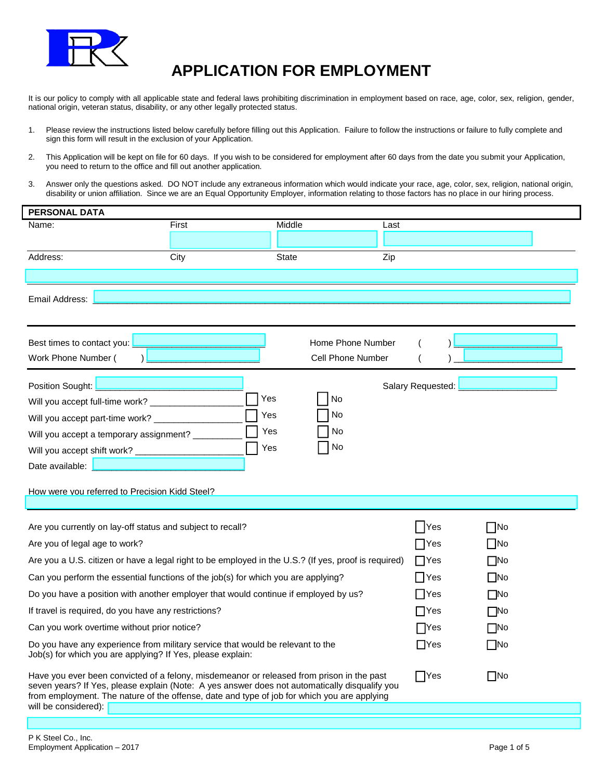

## **APPLICATION FOR EMPLOYMENT**

It is our policy to comply with all applicable state and federal laws prohibiting discrimination in employment based on race, age, color, sex, religion, gender, national origin, veteran status, disability, or any other legally protected status.

- 1. Please review the instructions listed below carefully before filling out this Application. Failure to follow the instructions or failure to fully complete and sign this form will result in the exclusion of your Application.
- 2. This Application will be kept on file for 60 days. If you wish to be considered for employment after 60 days from the date you submit your Application, you need to return to the office and fill out another application.
- 3. Answer only the questions asked. DO NOT include any extraneous information which would indicate your race, age, color, sex, religion, national origin, disability or union affiliation. Since we are an Equal Opportunity Employer, information relating to those factors has no place in our hiring process.

| <b>PERSONAL DATA</b>                                                                                                                                                                                                                                                                      |             |                   |                   |           |  |  |  |  |  |
|-------------------------------------------------------------------------------------------------------------------------------------------------------------------------------------------------------------------------------------------------------------------------------------------|-------------|-------------------|-------------------|-----------|--|--|--|--|--|
| Name:                                                                                                                                                                                                                                                                                     | First       | Middle            | Last              |           |  |  |  |  |  |
|                                                                                                                                                                                                                                                                                           |             |                   |                   |           |  |  |  |  |  |
| Address:                                                                                                                                                                                                                                                                                  | City        | <b>State</b>      | Zip               |           |  |  |  |  |  |
|                                                                                                                                                                                                                                                                                           |             |                   |                   |           |  |  |  |  |  |
|                                                                                                                                                                                                                                                                                           |             |                   |                   |           |  |  |  |  |  |
| Email Address:                                                                                                                                                                                                                                                                            |             |                   |                   |           |  |  |  |  |  |
|                                                                                                                                                                                                                                                                                           |             |                   |                   |           |  |  |  |  |  |
| Best times to contact you:                                                                                                                                                                                                                                                                |             | Home Phone Number |                   |           |  |  |  |  |  |
| Work Phone Number (                                                                                                                                                                                                                                                                       |             | Cell Phone Number |                   |           |  |  |  |  |  |
|                                                                                                                                                                                                                                                                                           |             |                   |                   |           |  |  |  |  |  |
| Position Sought:                                                                                                                                                                                                                                                                          |             |                   | Salary Requested: |           |  |  |  |  |  |
| Will you accept full-time work? _____________________                                                                                                                                                                                                                                     | Yes         | No                |                   |           |  |  |  |  |  |
| Will you accept part-time work? _________                                                                                                                                                                                                                                                 | Yes         | No                |                   |           |  |  |  |  |  |
| Will you accept a temporary assignment? _____                                                                                                                                                                                                                                             | Yes         | No                |                   |           |  |  |  |  |  |
| Will you accept shift work? ________________________                                                                                                                                                                                                                                      | Yes         | No                |                   |           |  |  |  |  |  |
| Date available:                                                                                                                                                                                                                                                                           |             |                   |                   |           |  |  |  |  |  |
| How were you referred to Precision Kidd Steel?                                                                                                                                                                                                                                            |             |                   |                   |           |  |  |  |  |  |
|                                                                                                                                                                                                                                                                                           |             |                   |                   |           |  |  |  |  |  |
| Are you currently on lay-off status and subject to recall?                                                                                                                                                                                                                                |             |                   | Yes               | $\neg$ No |  |  |  |  |  |
| Are you of legal age to work?                                                                                                                                                                                                                                                             |             | Yes               | $\Box$ No         |           |  |  |  |  |  |
| Are you a U.S. citizen or have a legal right to be employed in the U.S.? (If yes, proof is required)                                                                                                                                                                                      | $\Box$ Yes  | $\Box$ No         |                   |           |  |  |  |  |  |
| Can you perform the essential functions of the job(s) for which you are applying?                                                                                                                                                                                                         | l IYes      | $\square$ No      |                   |           |  |  |  |  |  |
|                                                                                                                                                                                                                                                                                           |             |                   |                   |           |  |  |  |  |  |
| Do you have a position with another employer that would continue if employed by us?                                                                                                                                                                                                       | $\prod$ Yes | $\square$ No      |                   |           |  |  |  |  |  |
| If travel is required, do you have any restrictions?                                                                                                                                                                                                                                      | $\Box$ Yes  | $\square$ No      |                   |           |  |  |  |  |  |
| Can you work overtime without prior notice?                                                                                                                                                                                                                                               | Yes         | $\square$ No      |                   |           |  |  |  |  |  |
| Do you have any experience from military service that would be relevant to the<br>Job(s) for which you are applying? If Yes, please explain:                                                                                                                                              | $\Box$ Yes  | $\square$ No      |                   |           |  |  |  |  |  |
| Have you ever been convicted of a felony, misdemeanor or released from prison in the past<br>seven years? If Yes, please explain (Note: A yes answer does not automatically disqualify you<br>from employment. The nature of the offense, date and type of job for which you are applying | $\prod$ Yes | $\square$ No      |                   |           |  |  |  |  |  |
| will be considered):                                                                                                                                                                                                                                                                      |             |                   |                   |           |  |  |  |  |  |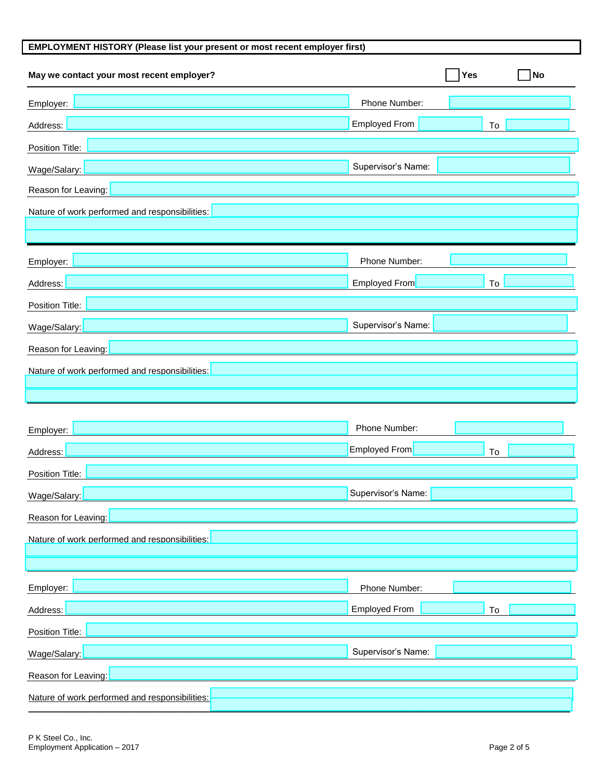| EMPLOYMENT HISTORY (Please list your present or most recent employer first) |                            |  |  |  |  |  |  |
|-----------------------------------------------------------------------------|----------------------------|--|--|--|--|--|--|
| May we contact your most recent employer?                                   | No<br>Yes                  |  |  |  |  |  |  |
| Employer:                                                                   | Phone Number:              |  |  |  |  |  |  |
| Address:                                                                    | <b>Employed From</b><br>To |  |  |  |  |  |  |
| Position Title:                                                             |                            |  |  |  |  |  |  |
| Wage/Salary:                                                                | Supervisor's Name:         |  |  |  |  |  |  |
| Reason for Leaving:                                                         |                            |  |  |  |  |  |  |
| Nature of work performed and responsibilities:                              |                            |  |  |  |  |  |  |
|                                                                             |                            |  |  |  |  |  |  |
| Employer:                                                                   | Phone Number:              |  |  |  |  |  |  |
| Address:                                                                    | Employed From<br>To        |  |  |  |  |  |  |
| Position Title:                                                             |                            |  |  |  |  |  |  |
| Wage/Salary:                                                                | Supervisor's Name:         |  |  |  |  |  |  |
| Reason for Leaving:                                                         |                            |  |  |  |  |  |  |
| Nature of work performed and responsibilities:                              |                            |  |  |  |  |  |  |
|                                                                             |                            |  |  |  |  |  |  |
|                                                                             |                            |  |  |  |  |  |  |
| Employer:                                                                   | Phone Number:              |  |  |  |  |  |  |
| Address:                                                                    | <b>Employed From</b><br>To |  |  |  |  |  |  |
| Position Title:                                                             |                            |  |  |  |  |  |  |
| Wage/Salary:                                                                | Supervisor's Name:         |  |  |  |  |  |  |
| Reason for Leaving:                                                         |                            |  |  |  |  |  |  |
| Nature of work performed and responsibilities:                              |                            |  |  |  |  |  |  |
|                                                                             |                            |  |  |  |  |  |  |
| Employer:                                                                   | Phone Number:              |  |  |  |  |  |  |
| Address:                                                                    | <b>Employed From</b><br>To |  |  |  |  |  |  |
| Position Title:                                                             |                            |  |  |  |  |  |  |
| Wage/Salary:                                                                | Supervisor's Name:         |  |  |  |  |  |  |
| Reason for Leaving:                                                         |                            |  |  |  |  |  |  |
| Nature of work performed and responsibilities:                              |                            |  |  |  |  |  |  |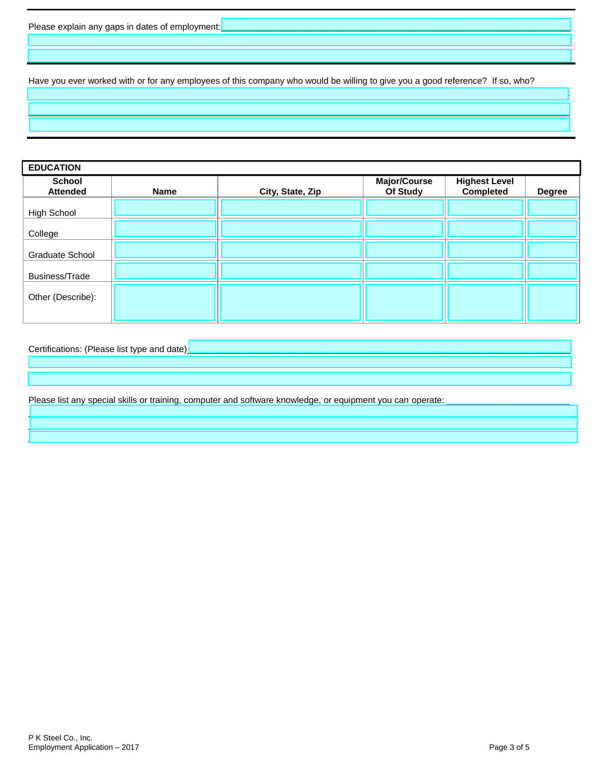| Please explain any gaps in dates of employment: |  |
|-------------------------------------------------|--|
|                                                 |  |

Have you ever worked with or for any employees of this company who would be willing to give you a good reference? If so, who?

| <b>EDUCATION</b>                 |             |                  |                                 |                                   |               |  |  |  |
|----------------------------------|-------------|------------------|---------------------------------|-----------------------------------|---------------|--|--|--|
| <b>School</b><br><b>Attended</b> | <b>Name</b> | City, State, Zip | <b>Major/Course</b><br>Of Study | <b>Highest Level</b><br>Completed | <b>Degree</b> |  |  |  |
| High School                      |             |                  |                                 |                                   |               |  |  |  |
| College                          |             |                  |                                 |                                   |               |  |  |  |
| Graduate School                  |             |                  |                                 |                                   |               |  |  |  |
| Business/Trade                   |             |                  |                                 |                                   |               |  |  |  |
| Other (Describe):                |             |                  |                                 |                                   |               |  |  |  |

Certifications: (Please list type and date)

Please list any special skills or training, computer and software knowledge, or equipment you can operate: